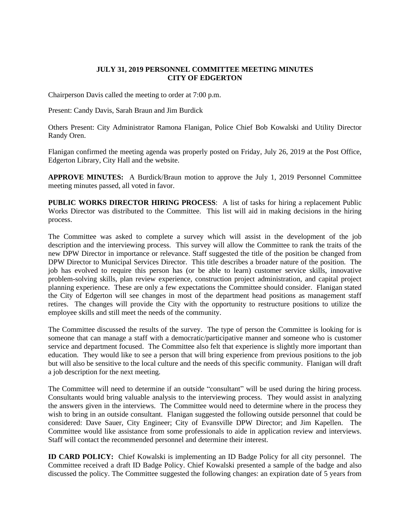## **JULY 31, 2019 PERSONNEL COMMITTEE MEETING MINUTES CITY OF EDGERTON**

Chairperson Davis called the meeting to order at 7:00 p.m.

Present: Candy Davis, Sarah Braun and Jim Burdick

Others Present: City Administrator Ramona Flanigan, Police Chief Bob Kowalski and Utility Director Randy Oren.

Flanigan confirmed the meeting agenda was properly posted on Friday, July 26, 2019 at the Post Office, Edgerton Library, City Hall and the website.

**APPROVE MINUTES:** A Burdick/Braun motion to approve the July 1, 2019 Personnel Committee meeting minutes passed, all voted in favor.

**PUBLIC WORKS DIRECTOR HIRING PROCESS**: A list of tasks for hiring a replacement Public Works Director was distributed to the Committee. This list will aid in making decisions in the hiring process.

The Committee was asked to complete a survey which will assist in the development of the job description and the interviewing process. This survey will allow the Committee to rank the traits of the new DPW Director in importance or relevance. Staff suggested the title of the position be changed from DPW Director to Municipal Services Director. This title describes a broader nature of the position. The job has evolved to require this person has (or be able to learn) customer service skills, innovative problem-solving skills, plan review experience, construction project administration, and capital project planning experience. These are only a few expectations the Committee should consider. Flanigan stated the City of Edgerton will see changes in most of the department head positions as management staff retires. The changes will provide the City with the opportunity to restructure positions to utilize the employee skills and still meet the needs of the community.

The Committee discussed the results of the survey. The type of person the Committee is looking for is someone that can manage a staff with a democratic/participative manner and someone who is customer service and department focused. The Committee also felt that experience is slightly more important than education. They would like to see a person that will bring experience from previous positions to the job but will also be sensitive to the local culture and the needs of this specific community. Flanigan will draft a job description for the next meeting.

The Committee will need to determine if an outside "consultant" will be used during the hiring process. Consultants would bring valuable analysis to the interviewing process. They would assist in analyzing the answers given in the interviews. The Committee would need to determine where in the process they wish to bring in an outside consultant. Flanigan suggested the following outside personnel that could be considered: Dave Sauer, City Engineer; City of Evansville DPW Director; and Jim Kapellen. The Committee would like assistance from some professionals to aide in application review and interviews. Staff will contact the recommended personnel and determine their interest.

**ID CARD POLICY:** Chief Kowalski is implementing an ID Badge Policy for all city personnel. The Committee received a draft ID Badge Policy. Chief Kowalski presented a sample of the badge and also discussed the policy. The Committee suggested the following changes: an expiration date of 5 years from